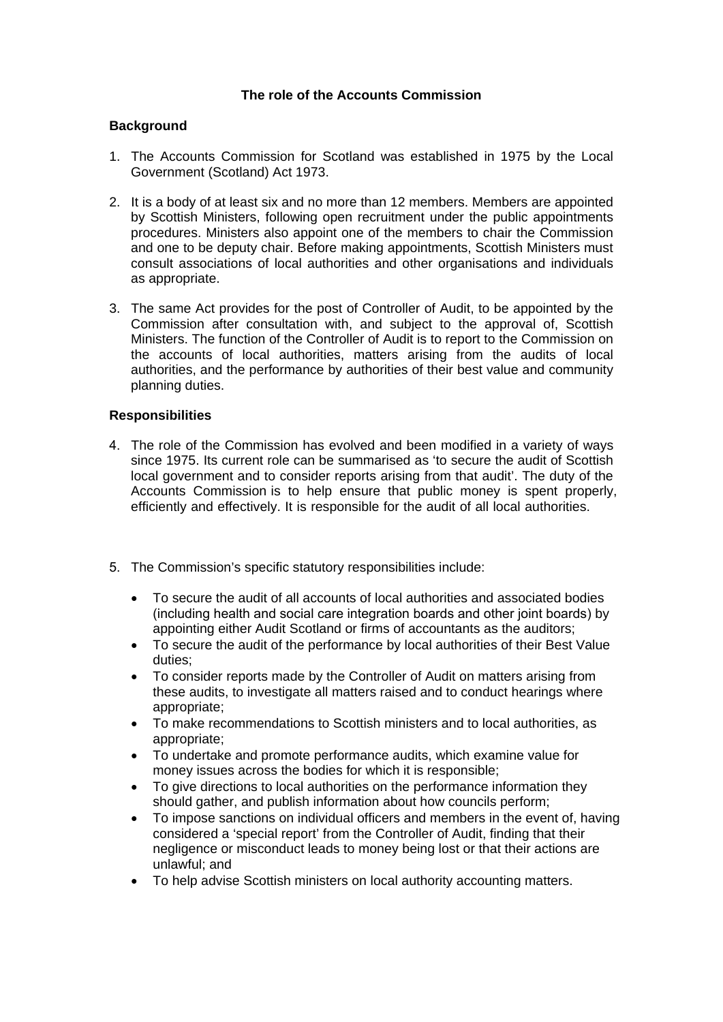## **The role of the Accounts Commission**

## **Background**

- 1. The Accounts Commission for Scotland was established in 1975 by the Local Government (Scotland) Act 1973.
- 2. It is a body of at least six and no more than 12 members. Members are appointed by Scottish Ministers, following open recruitment under the public appointments procedures. Ministers also appoint one of the members to chair the Commission and one to be deputy chair. Before making appointments, Scottish Ministers must consult associations of local authorities and other organisations and individuals as appropriate.
- 3. The same Act provides for the post of Controller of Audit, to be appointed by the Commission after consultation with, and subject to the approval of, Scottish Ministers. The function of the Controller of Audit is to report to the Commission on the accounts of local authorities, matters arising from the audits of local authorities, and the performance by authorities of their best value and community planning duties.

## **Responsibilities**

- 4. The role of the Commission has evolved and been modified in a variety of ways since 1975. Its current role can be summarised as 'to secure the audit of Scottish local government and to consider reports arising from that audit'. The duty of the Accounts Commission is to help ensure that public money is spent properly, efficiently and effectively. It is responsible for the audit of all local authorities.
- 5. The Commission's specific statutory responsibilities include:
	- To secure the audit of all accounts of local authorities and associated bodies (including health and social care integration boards and other joint boards) by appointing either Audit Scotland or firms of accountants as the auditors;
	- To secure the audit of the performance by local authorities of their Best Value duties;
	- To consider reports made by the Controller of Audit on matters arising from these audits, to investigate all matters raised and to conduct hearings where appropriate;
	- To make recommendations to Scottish ministers and to local authorities, as appropriate;
	- To undertake and promote performance audits, which examine value for money issues across the bodies for which it is responsible;
	- To give directions to local authorities on the performance information they should gather, and publish information about how councils perform;
	- To impose sanctions on individual officers and members in the event of, having considered a 'special report' from the Controller of Audit, finding that their negligence or misconduct leads to money being lost or that their actions are unlawful; and
	- To help advise Scottish ministers on local authority accounting matters.